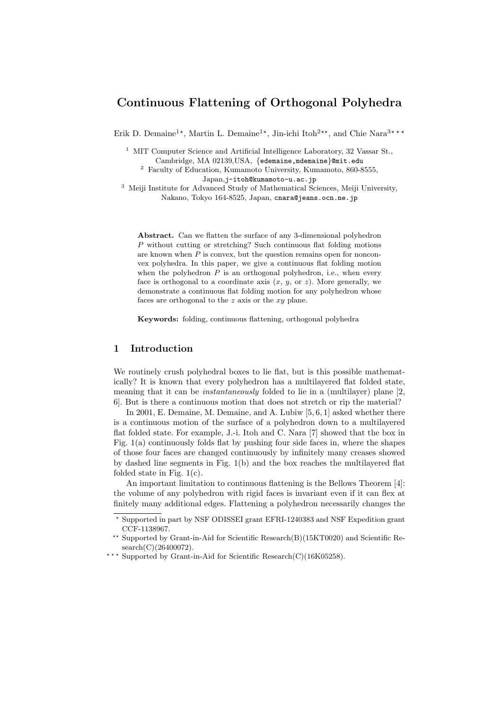# **Continuous Flattening of Orthogonal Polyhedra**

Erik D. Demaine<sup>1\*</sup>, Martin L. Demaine<sup>1\*</sup>, Jin-ichi Itoh<sup>2\*\*</sup>, and Chie Nara<sup>3\*\*\*</sup>

<sup>1</sup> MIT Computer Science and Artificial Intelligence Laboratory, 32 Vassar St., Cambridge, MA 02139,USA, *{*edemaine,mdemaine*}*@mit.edu

<sup>2</sup> Faculty of Education, Kumamoto University, Kumamoto, 860-8555, Japan,j-itoh@kumamoto-u.ac.jp

<sup>3</sup> Meiji Institute for Advanced Study of Mathematical Sciences, Meiji University, Nakano, Tokyo 164-8525, Japan, cnara@jeans.ocn.ne.jp

**Abstract.** Can we flatten the surface of any 3-dimensional polyhedron *P* without cutting or stretching? Such continuous flat folding motions are known when *P* is convex, but the question remains open for nonconvex polyhedra. In this paper, we give a continuous flat folding motion when the polyhedron  $P$  is an orthogonal polyhedron, i.e., when every face is orthogonal to a coordinate axis  $(x, y, \text{ or } z)$ . More generally, we demonstrate a continuous flat folding motion for any polyhedron whose faces are orthogonal to the *z* axis or the *xy* plane.

**Keywords:** folding, continuous flattening, orthogonal polyhedra

## **1 Introduction**

We routinely crush polyhedral boxes to lie flat, but is this possible mathematically? It is known that every polyhedron has a multilayered flat folded state, meaning that it can be *instantaneously* folded to lie in a (multilayer) plane [2, 6]. But is there a continuous motion that does not stretch or rip the material?

In 2001, E. Demaine, M. Demaine, and A. Lubiw [5, 6, 1] asked whether there is a continuous motion of the surface of a polyhedron down to a multilayered flat folded state. For example, J.-i. Itoh and C. Nara [7] showed that the box in Fig. 1(a) continuously folds flat by pushing four side faces in, where the shapes of those four faces are changed continuously by infinitely many creases showed by dashed line segments in Fig. 1(b) and the box reaches the multilayered flat folded state in Fig.  $1(c)$ .

An important limitation to continuous flattening is the Bellows Theorem [4]: the volume of any polyhedron with rigid faces is invariant even if it can flex at finitely many additional edges. Flattening a polyhedron necessarily changes the

*<sup>⋆</sup>* Supported in part by NSF ODISSEI grant EFRI-1240383 and NSF Expedition grant CCF-1138967.

*<sup>⋆⋆</sup>* Supported by Grant-in-Aid for Scientific Research(B)(15KT0020) and Scientific Re $search(C)(26400072).$ 

<sup>\*\*\*</sup> Supported by Grant-in-Aid for Scientific Research(C)(16K05258).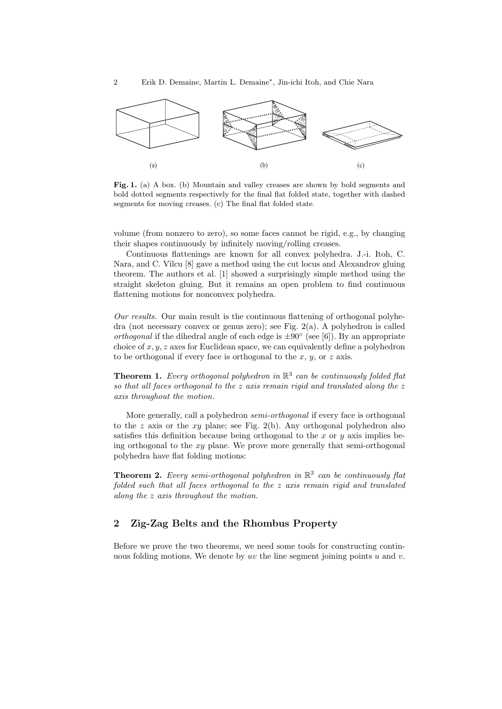

Fig. 1. (a) A box. (b) Mountain and valley creases are shown by bold segments and bold dotted segments respectively for the final flat folded state, together with dashed segments for moving creases. (c) The final flat folded state.

volume (from nonzero to zero), so some faces cannot be rigid, e.g., by changing their shapes continuously by infinitely moving/rolling creases.

Continuous flattenings are known for all convex polyhedra. J.-i. Itoh, C. Nara, and C. Vîlcu [8] gave a method using the cut locus and Alexandrov gluing theorem. The authors et al. [1] showed a surprisingly simple method using the straight skeleton gluing. But it remains an open problem to find continuous flattening motions for nonconvex polyhedra.

*Our results.* Our main result is the continuous flattening of orthogonal polyhedra (not necessary convex or genus zero); see Fig. 2(a). A polyhedron is called *orthogonal* if the dihedral angle of each edge is  $±90°$  (see [6]). By an appropriate choice of *x, y, z* axes for Euclidean space, we can equivalently define a polyhedron to be orthogonal if every face is orthogonal to the *x*, *y*, or *z* axis.

**Theorem 1.** *Every orthogonal polyhedron in* R 3 *can be continuously folded flat so that all faces orthogonal to the z axis remain rigid and translated along the z axis throughout the motion.*

More generally, call a polyhedron *semi-orthogonal* if every face is orthogonal to the *z* axis or the *xy* plane; see Fig. 2(b). Any orthogonal polyhedron also satisfies this definition because being orthogonal to the *x* or *y* axis implies being orthogonal to the *xy* plane. We prove more generally that semi-orthogonal polyhedra have flat folding motions:

**Theorem 2.** *Every semi-orthogonal polyhedron in* R 3 *can be continuously flat folded such that all faces orthogonal to the z axis remain rigid and translated along the z axis throughout the motion.*

# **2 Zig-Zag Belts and the Rhombus Property**

Before we prove the two theorems, we need some tools for constructing continuous folding motions. We denote by *uv* the line segment joining points *u* and *v*.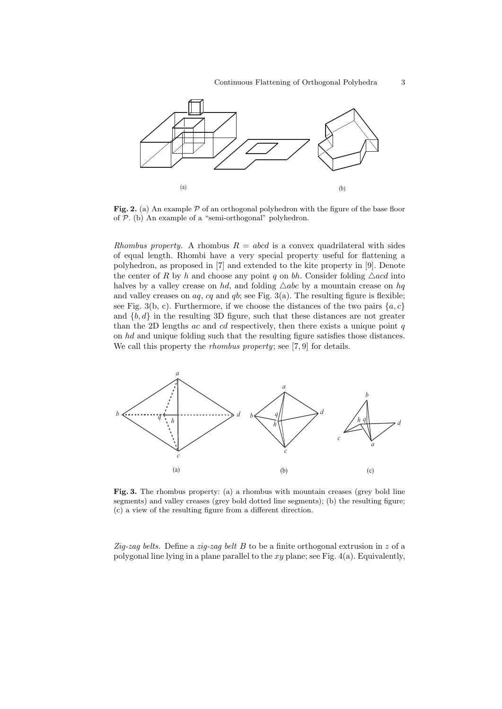

Fig. 2. (a) An example  $P$  of an orthogonal polyhedron with the figure of the base floor of *P*. (b) An example of a "semi-orthogonal" polyhedron.

*Rhombus property.* A rhombus  $R = abcd$  is a convex quadrilateral with sides of equal length. Rhombi have a very special property useful for flattening a polyhedron, as proposed in [7] and extended to the kite property in [9]. Denote the center of *R* by *h* and choose any point *q* on *bh*. Consider folding  $\triangle$ *acd* into halves by a valley crease on *hd*, and folding  $\triangle abc$  by a mountain crease on *hq* and valley creases on  $aq$ ,  $cq$  and  $qb$ ; see Fig.  $3(a)$ . The resulting figure is flexible; see Fig. 3(b, c). Furthermore, if we choose the distances of the two pairs  $\{a, c\}$ and  $\{b, d\}$  in the resulting 3D figure, such that these distances are not greater than the 2D lengths *ac* and *cd* respectively, then there exists a unique point *q* on *hd* and unique folding such that the resulting figure satisfies those distances. We call this property the *rhombus property*; see [7, 9] for details.



**Fig. 3.** The rhombus property: (a) a rhombus with mountain creases (grey bold line segments) and valley creases (grey bold dotted line segments); (b) the resulting figure; (c) a view of the resulting figure from a different direction.

*Zig-zag belts.* Define a *zig-zag belt B* to be a finite orthogonal extrusion in *z* of a polygonal line lying in a plane parallel to the *xy* plane; see Fig. 4(a). Equivalently,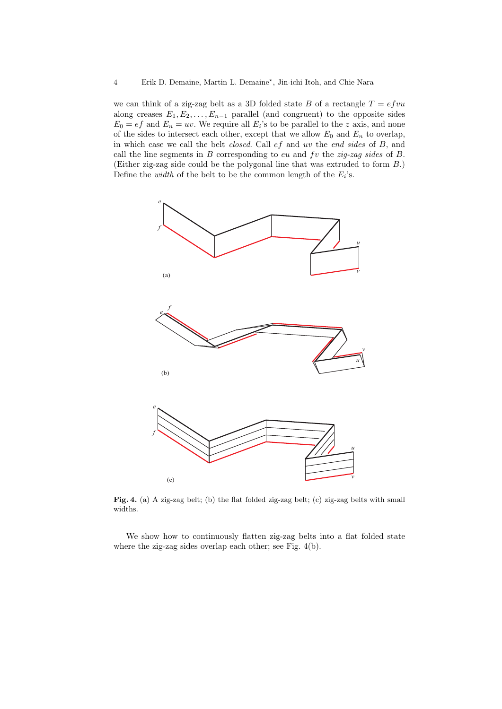we can think of a zig-zag belt as a 3D folded state  $B$  of a rectangle  $T = e f v u$ along creases  $E_1, E_2, \ldots, E_{n-1}$  parallel (and congruent) to the opposite sides  $E_0 = ef$  and  $E_n = uv$ . We require all  $E_i$ 's to be parallel to the *z* axis, and none of the sides to intersect each other, except that we allow  $E_0$  and  $E_n$  to overlap, in which case we call the belt *closed*. Call *ef* and *uv* the *end sides* of *B*, and call the line segments in *B* corresponding to *eu* and *fv* the *zig-zag sides* of *B*. (Either zig-zag side could be the polygonal line that was extruded to form *B*.) Define the *width* of the belt to be the common length of the  $E_i$ 's.



Fig. 4. (a) A zig-zag belt; (b) the flat folded zig-zag belt; (c) zig-zag belts with small widths.

We show how to continuously flatten zig-zag belts into a flat folded state where the zig-zag sides overlap each other; see Fig. 4(b).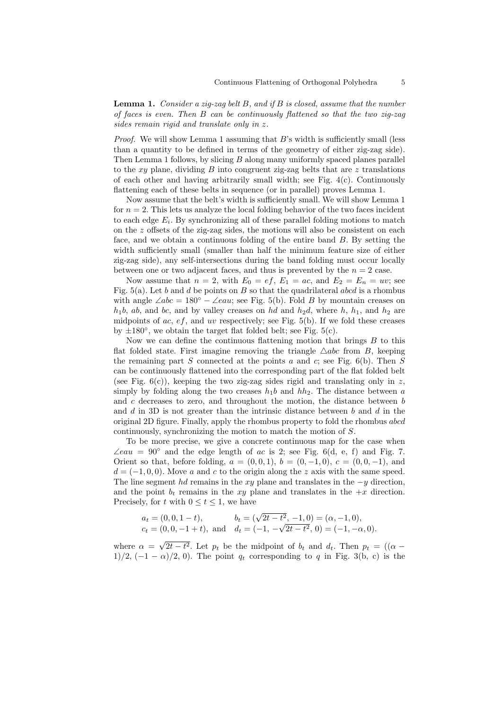**Lemma 1.** *Consider a zig-zag belt B, and if B is closed, assume that the number of faces is even. Then B can be continuously flattened so that the two zig-zag sides remain rigid and translate only in z.*

*Proof.* We will show Lemma 1 assuming that *B*'s width is sufficiently small (less than a quantity to be defined in terms of the geometry of either zig-zag side). Then Lemma 1 follows, by slicing *B* along many uniformly spaced planes parallel to the *xy* plane, dividing *B* into congruent zig-zag belts that are *z* translations of each other and having arbitrarily small width; see Fig. 4(c). Continuously flattening each of these belts in sequence (or in parallel) proves Lemma 1.

Now assume that the belt's width is sufficiently small. We will show Lemma 1 for  $n = 2$ . This lets us analyze the local folding behavior of the two faces incident to each edge  $E_i$ . By synchronizing all of these parallel folding motions to match on the *z* offsets of the zig-zag sides, the motions will also be consistent on each face, and we obtain a continuous folding of the entire band *B*. By setting the width sufficiently small (smaller than half the minimum feature size of either zig-zag side), any self-intersections during the band folding must occur locally between one or two adjacent faces, and thus is prevented by the  $n = 2$  case.

Now assume that  $n = 2$ , with  $E_0 = ef$ ,  $E_1 = ac$ , and  $E_2 = E_n = uv$ ; see Fig. 5(a). Let *b* and *d* be points on *B* so that the quadrilateral *abcd* is a rhombus with angle  $\angle abc = 180^\circ - \angle eau$ ; see Fig. 5(b). Fold *B* by mountain creases on  $h_1b$ , *ab*, and *bc*, and by valley creases on *hd* and  $h_2d$ , where *h*,  $h_1$ , and  $h_2$  are midpoints of  $ac, ef$ , and  $uv$  respectively; see Fig. 5(b). If we fold these creases by *±*180*◦* , we obtain the target flat folded belt; see Fig. 5(c).

Now we can define the continuous flattening motion that brings *B* to this flat folded state. First imagine removing the triangle  $\triangle abc$  from *B*, keeping the remaining part *S* connected at the points *a* and *c*; see Fig. 6(b). Then *S* can be continuously flattened into the corresponding part of the flat folded belt (see Fig. 6(c)), keeping the two zig-zag sides rigid and translating only in *z*, simply by folding along the two creases  $h_1b$  and  $hh_2$ . The distance between *a* and *c* decreases to zero, and throughout the motion, the distance between *b* and *d* in 3D is not greater than the intrinsic distance between *b* and *d* in the original 2D figure. Finally, apply the rhombus property to fold the rhombus *abcd* continuously, synchronizing the motion to match the motion of *S*.

To be more precise, we give a concrete continuous map for the case when  $\angle eau = 90^\circ$  and the edge length of *ac* is 2; see Fig. 6(d, e, f) and Fig. 7. Orient so that, before folding,  $a = (0,0,1), b = (0,-1,0), c = (0,0,-1),$  and  $d = (-1, 0, 0)$ . Move *a* and *c* to the origin along the *z* axis with the same speed. The line segment *hd* remains in the *xy* plane and translates in the *−y* direction, and the point  $b_t$  remains in the  $xy$  plane and translates in the  $+x$  direction. Precisely, for *t* with  $0 \le t \le 1$ , we have

$$
a_t = (0, 0, 1 - t),
$$
  $b_t = (\sqrt{2t - t^2}, -1, 0) = (\alpha, -1, 0),$   
\n $c_t = (0, 0, -1 + t),$  and  $d_t = (-1, -\sqrt{2t - t^2}, 0) = (-1, -\alpha, 0).$ 

where  $\alpha =$ *√*  $2t - t^2$ . Let  $p_t$  be the midpoint of  $b_t$  and  $d_t$ . Then  $p_t = ((\alpha - t)^2)$ 1)/2,  $(-1 - \alpha)/2$ , 0). The point  $q_t$  corresponding to q in Fig. 3(b, c) is the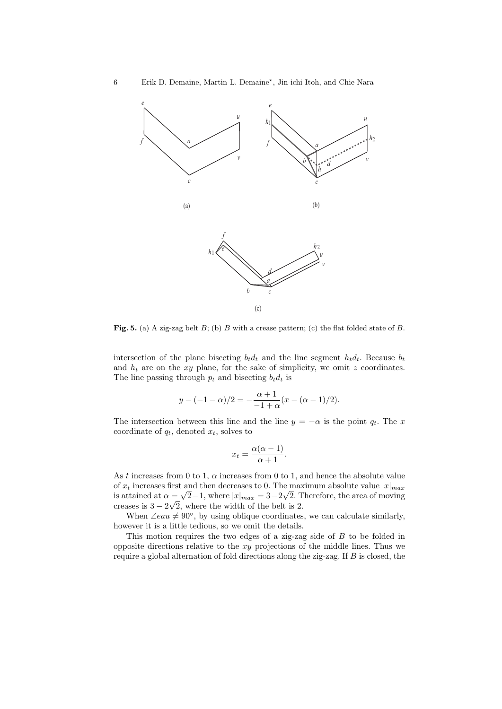

**Fig. 5.** (a) A zig-zag belt *B*; (b) *B* with a crease pattern; (c) the flat folded state of *B*.

intersection of the plane bisecting  $b_t d_t$  and the line segment  $h_t d_t$ . Because  $b_t$ and  $h_t$  are on the *xy* plane, for the sake of simplicity, we omit  $z$  coordinates. The line passing through  $p_t$  and bisecting  $b_t d_t$  is

$$
y - (-1 - \alpha)/2 = -\frac{\alpha + 1}{-1 + \alpha}(x - (\alpha - 1)/2).
$$

The intersection between this line and the line  $y = -\alpha$  is the point  $q_t$ . The *x* coordinate of  $q_t$ , denoted  $x_t$ , solves to

$$
x_t = \frac{\alpha(\alpha - 1)}{\alpha + 1}.
$$

As *t* increases from 0 to 1, *α* increases from 0 to 1, and hence the absolute value of  $x_t$  increases first and then decreases to 0. The maximum absolute value  $|x|_{max}$  $\alpha$  *π*<sub>*k*</sub> increases first and then decreases to 0. The maximum absolute value  $|x|_{max}$  is attained at  $\alpha = \sqrt{2} - 1$ , where  $|x|_{max} = 3 - 2\sqrt{2}$ . Therefore, the area of moving creases is 3 *−* 2 *√* 2, where the width of the belt is 2.

When  $\angle e \alpha u \neq 90^\circ$ , by using oblique coordinates, we can calculate similarly, however it is a little tedious, so we omit the details.

This motion requires the two edges of a zig-zag side of *B* to be folded in opposite directions relative to the *xy* projections of the middle lines. Thus we require a global alternation of fold directions along the zig-zag. If *B* is closed, the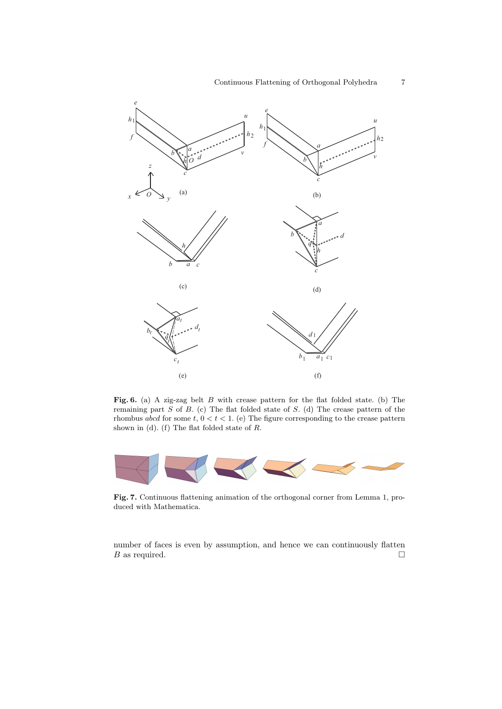

**Fig. 6.** (a) A zig-zag belt *B* with crease pattern for the flat folded state. (b) The remaining part *S* of *B*. (c) The flat folded state of *S*. (d) The crease pattern of the rhombus *abcd* for some  $t, 0 < t < 1$ . (e) The figure corresponding to the crease pattern shown in (d). (f) The flat folded state of *R*.



**Fig. 7.** Continuous flattening animation of the orthogonal corner from Lemma 1, produced with Mathematica.

number of faces is even by assumption, and hence we can continuously flatten *B* as required.  $\Box$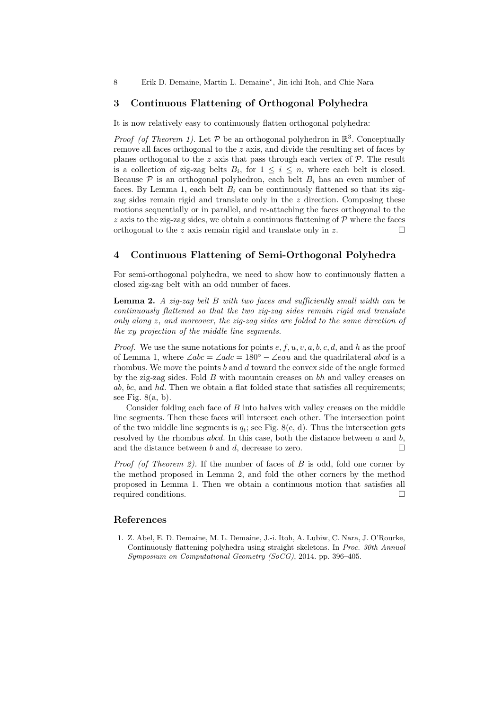8 Erik D. Demaine, Martin L. Demaine<sup>\*</sup>, Jin-ichi Itoh, and Chie Nara

#### **3 Continuous Flattening of Orthogonal Polyhedra**

It is now relatively easy to continuously flatten orthogonal polyhedra:

*Proof (of Theorem 1).* Let  $P$  be an orthogonal polyhedron in  $\mathbb{R}^3$ . Conceptually remove all faces orthogonal to the *z* axis, and divide the resulting set of faces by planes orthogonal to the  $z$  axis that pass through each vertex of  $P$ . The result is a collection of zig-zag belts  $B_i$ , for  $1 \leq i \leq n$ , where each belt is closed. Because  $P$  is an orthogonal polyhedron, each belt  $B_i$  has an even number of faces. By Lemma 1, each belt  $B_i$  can be continuously flattened so that its zigzag sides remain rigid and translate only in the *z* direction. Composing these motions sequentially or in parallel, and re-attaching the faces orthogonal to the *z* axis to the zig-zag sides, we obtain a continuous flattening of  $\mathcal{P}$  where the faces orthogonal to the *z* axis remain rigid and translate only in  $z$ .  $\Box$ 

## **4 Continuous Flattening of Semi-Orthogonal Polyhedra**

For semi-orthogonal polyhedra, we need to show how to continuously flatten a closed zig-zag belt with an odd number of faces.

**Lemma 2.** *A zig-zag belt B with two faces and sufficiently small width can be continuously flattened so that the two zig-zag sides remain rigid and translate only along z, and moreover, the zig-zag sides are folded to the same direction of the xy projection of the middle line segments.*

*Proof.* We use the same notations for points *e, f, u, v, a, b, c, d*, and *h* as the proof of Lemma 1, where ∠*abc* = ∠*adc* = 180*◦ −* ∠*eau* and the quadrilateral *abcd* is a rhombus. We move the points *b* and *d* toward the convex side of the angle formed by the zig-zag sides. Fold *B* with mountain creases on *bh* and valley creases on *ab*, *bc*, and *hd*. Then we obtain a flat folded state that satisfies all requirements; see Fig.  $8(a, b)$ .

Consider folding each face of *B* into halves with valley creases on the middle line segments. Then these faces will intersect each other. The intersection point of the two middle line segments is  $q_t$ ; see Fig. 8(c, d). Thus the intersection gets resolved by the rhombus *abcd*. In this case, both the distance between *a* and *b*, and the distance between *b* and *d*, decrease to zero.  $\Box$ 

*Proof (of Theorem 2).* If the number of faces of *B* is odd, fold one corner by the method proposed in Lemma 2, and fold the other corners by the method proposed in Lemma 1. Then we obtain a continuous motion that satisfies all required conditions. □

#### **References**

1. Z. Abel, E. D. Demaine, M. L. Demaine, J.-i. Itoh, A. Lubiw, C. Nara, J. O'Rourke, Continuously flattening polyhedra using straight skeletons. In *Proc. 30th Annual Symposium on Computational Geometry (SoCG)*, 2014. pp. 396–405.